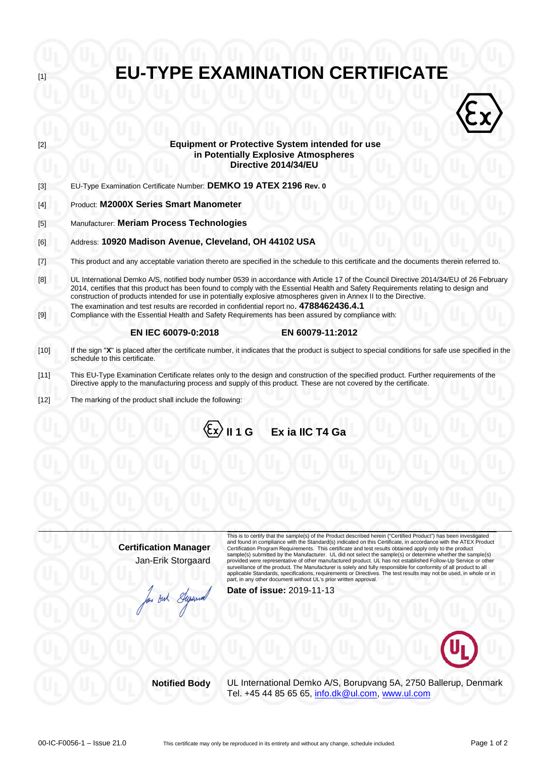**EU-TYPE EXAMINATION CERTIFICATE Equipment or Protective System intended for use**  $\langle \hat{\epsilon} \rangle$ **in Potentially Explosive Atmospheres Directive 2014/34/EU** [3] EU-Type Examination Certificate Number: **DEMKO 19 ATEX 2196 Rev. 0** [4] Product: **M2000X Series Smart Manometer** [5] Manufacturer: **Meriam Process Technologies** [6] Address: **10920 Madison Avenue, Cleveland, OH 44102 USA** [7] This product and any acceptable variation thereto are specified in the schedule to this certificate and the documents therein referred to.  $[8]$ UL International Demko A/S, notified body number 0539 in accordance with Article 17 of the Council Directive 2014/34/EU of 26 February 2014, certifies that this product has been found to comply with the Essential Health and Safety Requirements relating to design and construction of products intended for use in potentially explosive atmospheres given in Annex II to the Directive. The examination and test results are recorded in confidential report no. **4788462436.4.1** [9] Compliance with the Essential Health and Safety Requirements has been assured by compliance with:  **EN IEC 60079-0:2018 EN 60079-11:2012** [10] If the sign "**X**" is placed after the certificate number, it indicates that the product is subject to special conditions for safe use specified in the schedule to this certificate. [11] This EU-Type Examination Certificate relates only to the design and construction of the specified product. Further requirements of the Directive apply to the manufacturing process and supply of this product. These are not covered by the certificate. [12] The marking of the product shall include the following:

**II 1 G Ex ia IIC T4 Ga** 

**Certification Manager** Jan-Erik Storgaard

Jan But Super

This is to certify that the sample(s) of the Product described herein ("Certified Product") has been investigated and found in compliance with the Standard(s) indicated on this Certificate, in accordance with the ATEX Product Certification Program Requirements. This certificate and test results obtained apply only to the product sample(s) submitted by the Manufacturer. UL did not select the sample(s) or determine whether the sample(s) provided were representative of other manufactured product. UL has not established Follow-Up Service or other surveillance of the product. The Manufacturer is solely and fully responsible for conformity of all product to all<br>applicable Standards, specifications, requirements or Directives. The test results may not be used, in whol

**Date of issue:** 2019-11-13



**Notified Body** UL International Demko A/S, Borupvang 5A, 2750 Ballerup, Denmark Tel. +45 44 85 65 65, [info.dk@ul.com,](mailto:info.dk@ul.com) [www.ul.com](http://www.ul.com/)